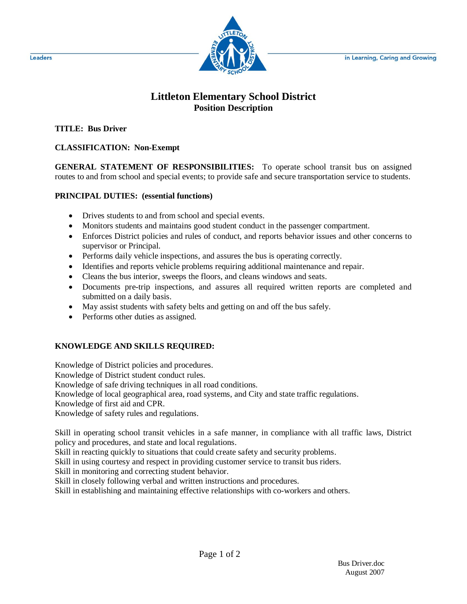

## **Littleton Elementary School District Position Description**

**TITLE: Bus Driver**

## **CLASSIFICATION: Non-Exempt**

**GENERAL STATEMENT OF RESPONSIBILITIES:** To operate school transit bus on assigned routes to and from school and special events; to provide safe and secure transportation service to students.

## **PRINCIPAL DUTIES: (essential functions)**

- Drives students to and from school and special events.
- Monitors students and maintains good student conduct in the passenger compartment.
- Enforces District policies and rules of conduct, and reports behavior issues and other concerns to supervisor or Principal.
- Performs daily vehicle inspections, and assures the bus is operating correctly.
- Identifies and reports vehicle problems requiring additional maintenance and repair.
- Cleans the bus interior, sweeps the floors, and cleans windows and seats.
- Documents pre-trip inspections, and assures all required written reports are completed and submitted on a daily basis.
- May assist students with safety belts and getting on and off the bus safely.
- Performs other duties as assigned.

## **KNOWLEDGE AND SKILLS REQUIRED:**

Knowledge of District policies and procedures.

Knowledge of District student conduct rules.

Knowledge of safe driving techniques in all road conditions.

Knowledge of local geographical area, road systems, and City and state traffic regulations.

Knowledge of first aid and CPR.

Knowledge of safety rules and regulations.

Skill in operating school transit vehicles in a safe manner, in compliance with all traffic laws, District policy and procedures, and state and local regulations.

Skill in reacting quickly to situations that could create safety and security problems.

Skill in using courtesy and respect in providing customer service to transit bus riders.

Skill in monitoring and correcting student behavior.

Skill in closely following verbal and written instructions and procedures.

Skill in establishing and maintaining effective relationships with co-workers and others.